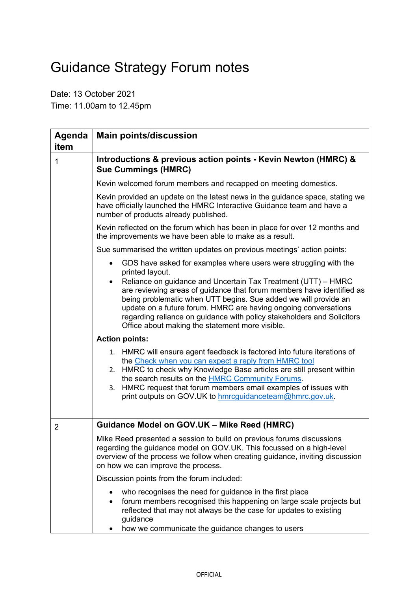## Guidance Strategy Forum notes

Date: 13 October 2021 Time: 11.00am to 12.45pm

| <b>Agenda</b><br>item | <b>Main points/discussion</b>                                                                                                                                                                                                                                                                                                                                                                                                |
|-----------------------|------------------------------------------------------------------------------------------------------------------------------------------------------------------------------------------------------------------------------------------------------------------------------------------------------------------------------------------------------------------------------------------------------------------------------|
| 1                     | Introductions & previous action points - Kevin Newton (HMRC) &<br><b>Sue Cummings (HMRC)</b>                                                                                                                                                                                                                                                                                                                                 |
|                       | Kevin welcomed forum members and recapped on meeting domestics.                                                                                                                                                                                                                                                                                                                                                              |
|                       | Kevin provided an update on the latest news in the guidance space, stating we<br>have officially launched the HMRC Interactive Guidance team and have a<br>number of products already published.                                                                                                                                                                                                                             |
|                       | Kevin reflected on the forum which has been in place for over 12 months and<br>the improvements we have been able to make as a result.                                                                                                                                                                                                                                                                                       |
|                       | Sue summarised the written updates on previous meetings' action points:                                                                                                                                                                                                                                                                                                                                                      |
|                       | GDS have asked for examples where users were struggling with the<br>$\bullet$                                                                                                                                                                                                                                                                                                                                                |
|                       | printed layout.<br>Reliance on guidance and Uncertain Tax Treatment (UTT) - HMRC<br>are reviewing areas of guidance that forum members have identified as<br>being problematic when UTT begins. Sue added we will provide an<br>update on a future forum. HMRC are having ongoing conversations<br>regarding reliance on guidance with policy stakeholders and Solicitors<br>Office about making the statement more visible. |
|                       | <b>Action points:</b>                                                                                                                                                                                                                                                                                                                                                                                                        |
|                       | 1. HMRC will ensure agent feedback is factored into future iterations of<br>the Check when you can expect a reply from HMRC tool<br>2. HMRC to check why Knowledge Base articles are still present within<br>the search results on the <b>HMRC Community Forums</b> .<br>3. HMRC request that forum members email examples of issues with<br>print outputs on GOV.UK to hmrcguidanceteam@hmrc.gov.uk.                        |
| 2                     | Guidance Model on GOV.UK - Mike Reed (HMRC)                                                                                                                                                                                                                                                                                                                                                                                  |
|                       | Mike Reed presented a session to build on previous forums discussions<br>regarding the guidance model on GOV.UK. This focussed on a high-level<br>overview of the process we follow when creating guidance, inviting discussion<br>on how we can improve the process.                                                                                                                                                        |
|                       | Discussion points from the forum included:                                                                                                                                                                                                                                                                                                                                                                                   |
|                       | who recognises the need for guidance in the first place<br>forum members recognised this happening on large scale projects but<br>reflected that may not always be the case for updates to existing<br>guidance<br>how we communicate the guidance changes to users                                                                                                                                                          |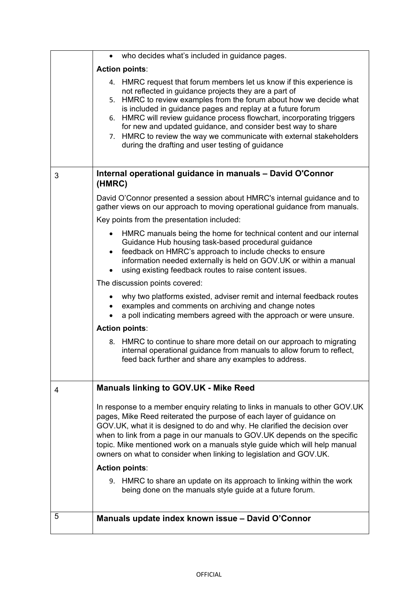|   | who decides what's included in guidance pages.                                                                                                                                                                                                                                                                                                                                                                                                                                                                                                  |
|---|-------------------------------------------------------------------------------------------------------------------------------------------------------------------------------------------------------------------------------------------------------------------------------------------------------------------------------------------------------------------------------------------------------------------------------------------------------------------------------------------------------------------------------------------------|
|   | <b>Action points:</b>                                                                                                                                                                                                                                                                                                                                                                                                                                                                                                                           |
|   | 4. HMRC request that forum members let us know if this experience is<br>not reflected in guidance projects they are a part of<br>HMRC to review examples from the forum about how we decide what<br>5.<br>is included in guidance pages and replay at a future forum<br>HMRC will review guidance process flowchart, incorporating triggers<br>6.<br>for new and updated guidance, and consider best way to share<br>HMRC to review the way we communicate with external stakeholders<br>7.<br>during the drafting and user testing of guidance |
| 3 | Internal operational guidance in manuals - David O'Connor<br>(HMRC)                                                                                                                                                                                                                                                                                                                                                                                                                                                                             |
|   | David O'Connor presented a session about HMRC's internal guidance and to<br>gather views on our approach to moving operational guidance from manuals.                                                                                                                                                                                                                                                                                                                                                                                           |
|   | Key points from the presentation included:                                                                                                                                                                                                                                                                                                                                                                                                                                                                                                      |
|   | HMRC manuals being the home for technical content and our internal<br>$\bullet$<br>Guidance Hub housing task-based procedural guidance<br>feedback on HMRC's approach to include checks to ensure<br>$\bullet$<br>information needed externally is held on GOV.UK or within a manual<br>using existing feedback routes to raise content issues.                                                                                                                                                                                                 |
|   | The discussion points covered:                                                                                                                                                                                                                                                                                                                                                                                                                                                                                                                  |
|   | why two platforms existed, adviser remit and internal feedback routes<br>examples and comments on archiving and change notes<br>$\bullet$<br>a poll indicating members agreed with the approach or were unsure.                                                                                                                                                                                                                                                                                                                                 |
|   | <b>Action points:</b>                                                                                                                                                                                                                                                                                                                                                                                                                                                                                                                           |
|   | 8. HMRC to continue to share more detail on our approach to migrating<br>internal operational guidance from manuals to allow forum to reflect,<br>feed back further and share any examples to address.                                                                                                                                                                                                                                                                                                                                          |
| 4 | <b>Manuals linking to GOV.UK - Mike Reed</b>                                                                                                                                                                                                                                                                                                                                                                                                                                                                                                    |
|   | In response to a member enquiry relating to links in manuals to other GOV.UK<br>pages, Mike Reed reiterated the purpose of each layer of guidance on<br>GOV.UK, what it is designed to do and why. He clarified the decision over<br>when to link from a page in our manuals to GOV.UK depends on the specific<br>topic. Mike mentioned work on a manuals style guide which will help manual<br>owners on what to consider when linking to legislation and GOV.UK.<br><b>Action points:</b>                                                     |
|   | 9. HMRC to share an update on its approach to linking within the work<br>being done on the manuals style guide at a future forum.                                                                                                                                                                                                                                                                                                                                                                                                               |
| 5 | Manuals update index known issue - David O'Connor                                                                                                                                                                                                                                                                                                                                                                                                                                                                                               |